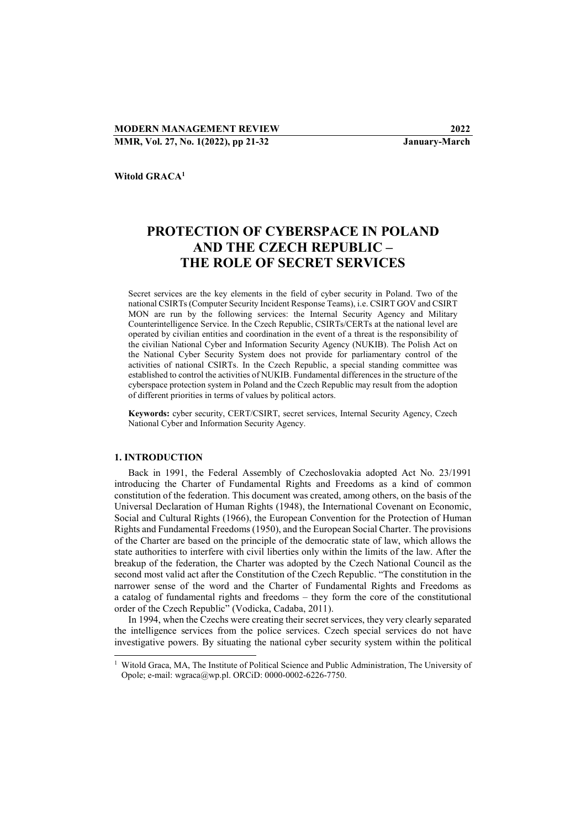Witold GRACA<sup>1</sup>

# PROTECTION OF CYBERSPACE IN POLAND AND THE CZECH REPUBLIC – THE ROLE OF SECRET SERVICES

Secret services are the key elements in the field of cyber security in Poland. Two of the national CSIRTs (Computer Security Incident Response Teams), i.e. CSIRT GOV and CSIRT MON are run by the following services: the Internal Security Agency and Military Counterintelligence Service. In the Czech Republic, CSIRTs/CERTs at the national level are operated by civilian entities and coordination in the event of a threat is the responsibility of the civilian National Cyber and Information Security Agency (NUKIB). The Polish Act on the National Cyber Security System does not provide for parliamentary control of the activities of national CSIRTs. In the Czech Republic, a special standing committee was established to control the activities of NUKIB. Fundamental differences in the structure of the cyberspace protection system in Poland and the Czech Republic may result from the adoption of different priorities in terms of values by political actors.

Keywords: cyber security, CERT/CSIRT, secret services, Internal Security Agency, Czech National Cyber and Information Security Agency.

## 1. INTRODUCTION

-

Back in 1991, the Federal Assembly of Czechoslovakia adopted Act No. 23/1991 introducing the Charter of Fundamental Rights and Freedoms as a kind of common constitution of the federation. This document was created, among others, on the basis of the Universal Declaration of Human Rights (1948), the International Covenant on Economic, Social and Cultural Rights (1966), the European Convention for the Protection of Human Rights and Fundamental Freedoms (1950), and the European Social Charter. The provisions of the Charter are based on the principle of the democratic state of law, which allows the state authorities to interfere with civil liberties only within the limits of the law. After the breakup of the federation, the Charter was adopted by the Czech National Council as the second most valid act after the Constitution of the Czech Republic. "The constitution in the narrower sense of the word and the Charter of Fundamental Rights and Freedoms as a catalog of fundamental rights and freedoms – they form the core of the constitutional order of the Czech Republic" (Vodicka, Cadaba, 2011).

In 1994, when the Czechs were creating their secret services, they very clearly separated the intelligence services from the police services. Czech special services do not have investigative powers. By situating the national cyber security system within the political

<sup>&</sup>lt;sup>1</sup> Witold Graca, MA, The Institute of Political Science and Public Administration, The University of Opole; e-mail: wgraca@wp.pl. ORCiD: 0000-0002-6226-7750.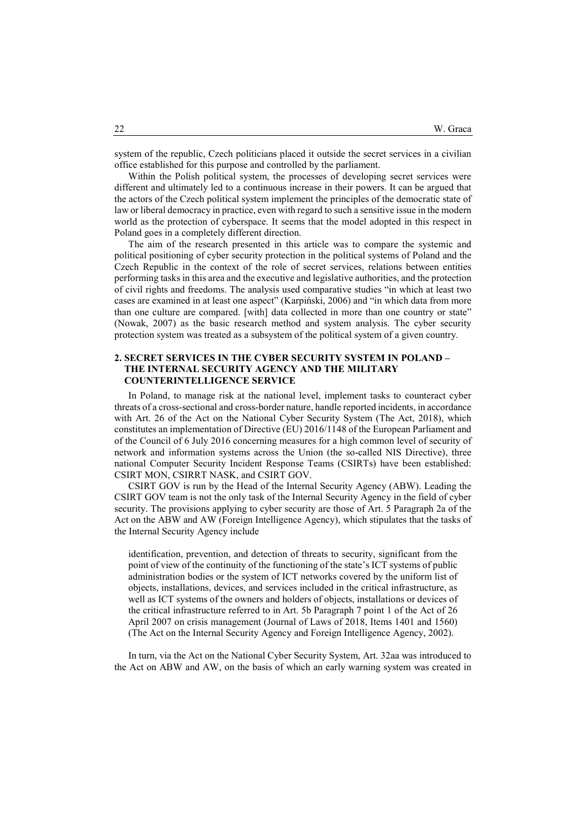system of the republic, Czech politicians placed it outside the secret services in a civilian office established for this purpose and controlled by the parliament.

Within the Polish political system, the processes of developing secret services were different and ultimately led to a continuous increase in their powers. It can be argued that the actors of the Czech political system implement the principles of the democratic state of law or liberal democracy in practice, even with regard to such a sensitive issue in the modern world as the protection of cyberspace. It seems that the model adopted in this respect in Poland goes in a completely different direction.

The aim of the research presented in this article was to compare the systemic and political positioning of cyber security protection in the political systems of Poland and the Czech Republic in the context of the role of secret services, relations between entities performing tasks in this area and the executive and legislative authorities, and the protection of civil rights and freedoms. The analysis used comparative studies "in which at least two cases are examined in at least one aspect" (Karpiński, 2006) and "in which data from more than one culture are compared. [with] data collected in more than one country or state" (Nowak, 2007) as the basic research method and system analysis. The cyber security protection system was treated as a subsystem of the political system of a given country.

## 2. SECRET SERVICES IN THE CYBER SECURITY SYSTEM IN POLAND – THE INTERNAL SECURITY AGENCY AND THE MILITARY COUNTERINTELLIGENCE SERVICE

In Poland, to manage risk at the national level, implement tasks to counteract cyber threats of a cross-sectional and cross-border nature, handle reported incidents, in accordance with Art. 26 of the Act on the National Cyber Security System (The Act, 2018), which constitutes an implementation of Directive (EU) 2016/1148 of the European Parliament and of the Council of 6 July 2016 concerning measures for a high common level of security of network and information systems across the Union (the so-called NIS Directive), three national Computer Security Incident Response Teams (CSIRTs) have been established: CSIRT MON, CSIRRT NASK, and CSIRT GOV.

CSIRT GOV is run by the Head of the Internal Security Agency (ABW). Leading the CSIRT GOV team is not the only task of the Internal Security Agency in the field of cyber security. The provisions applying to cyber security are those of Art. 5 Paragraph 2a of the Act on the ABW and AW (Foreign Intelligence Agency), which stipulates that the tasks of the Internal Security Agency include

identification, prevention, and detection of threats to security, significant from the point of view of the continuity of the functioning of the state's ICT systems of public administration bodies or the system of ICT networks covered by the uniform list of objects, installations, devices, and services included in the critical infrastructure, as well as ICT systems of the owners and holders of objects, installations or devices of the critical infrastructure referred to in Art. 5b Paragraph 7 point 1 of the Act of 26 April 2007 on crisis management (Journal of Laws of 2018, Items 1401 and 1560) (The Act on the Internal Security Agency and Foreign Intelligence Agency, 2002).

In turn, via the Act on the National Cyber Security System, Art. 32aa was introduced to the Act on ABW and AW, on the basis of which an early warning system was created in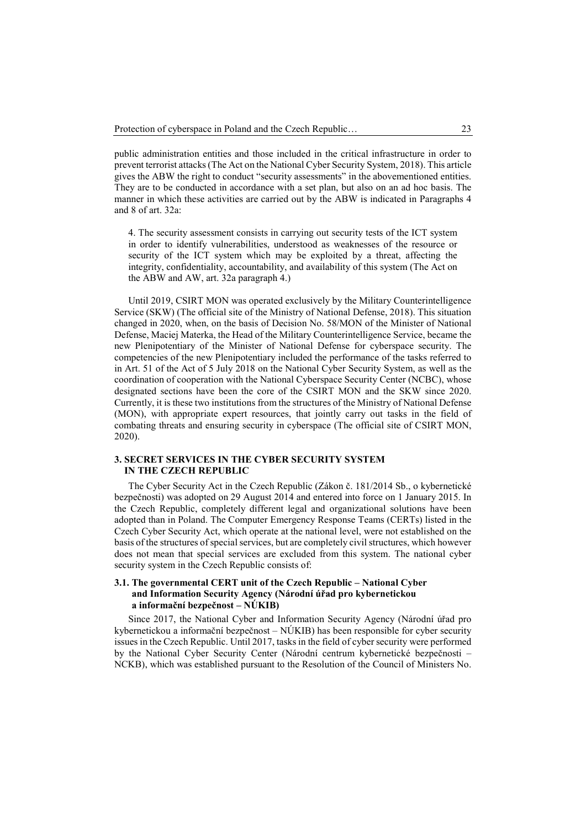public administration entities and those included in the critical infrastructure in order to prevent terrorist attacks (The Act on the National Cyber Security System, 2018). This article gives the ABW the right to conduct "security assessments" in the abovementioned entities. They are to be conducted in accordance with a set plan, but also on an ad hoc basis. The manner in which these activities are carried out by the ABW is indicated in Paragraphs 4 and 8 of art. 32a:

4. The security assessment consists in carrying out security tests of the ICT system in order to identify vulnerabilities, understood as weaknesses of the resource or security of the ICT system which may be exploited by a threat, affecting the integrity, confidentiality, accountability, and availability of this system (The Act on the ABW and AW, art. 32a paragraph 4.)

Until 2019, CSIRT MON was operated exclusively by the Military Counterintelligence Service (SKW) (The official site of the Ministry of National Defense, 2018). This situation changed in 2020, when, on the basis of Decision No. 58/MON of the Minister of National Defense, Maciej Materka, the Head of the Military Counterintelligence Service, became the new Plenipotentiary of the Minister of National Defense for cyberspace security. The competencies of the new Plenipotentiary included the performance of the tasks referred to in Art. 51 of the Act of 5 July 2018 on the National Cyber Security System, as well as the coordination of cooperation with the National Cyberspace Security Center (NCBC), whose designated sections have been the core of the CSIRT MON and the SKW since 2020. Currently, it is these two institutions from the structures of the Ministry of National Defense (MON), with appropriate expert resources, that jointly carry out tasks in the field of combating threats and ensuring security in cyberspace (The official site of CSIRT MON, 2020).

## 3. SECRET SERVICES IN THE CYBER SECURITY SYSTEM IN THE CZECH REPUBLIC

The Cyber Security Act in the Czech Republic (Zákon č. 181/2014 Sb., o kybernetické bezpečnosti) was adopted on 29 August 2014 and entered into force on 1 January 2015. In the Czech Republic, completely different legal and organizational solutions have been adopted than in Poland. The Computer Emergency Response Teams (CERTs) listed in the Czech Cyber Security Act, which operate at the national level, were not established on the basis of the structures of special services, but are completely civil structures, which however does not mean that special services are excluded from this system. The national cyber security system in the Czech Republic consists of:

# 3.1. The governmental CERT unit of the Czech Republic – National Cyber and Information Security Agency (Národní úřad pro kybernetickou a informační bezpečnost – NÚKIB)

Since 2017, the National Cyber and Information Security Agency (Národní úřad pro kybernetickou a informační bezpečnost – NÚKIB) has been responsible for cyber security issues in the Czech Republic. Until 2017, tasks in the field of cyber security were performed by the National Cyber Security Center (Národní centrum kybernetické bezpečnosti – NCKB), which was established pursuant to the Resolution of the Council of Ministers No.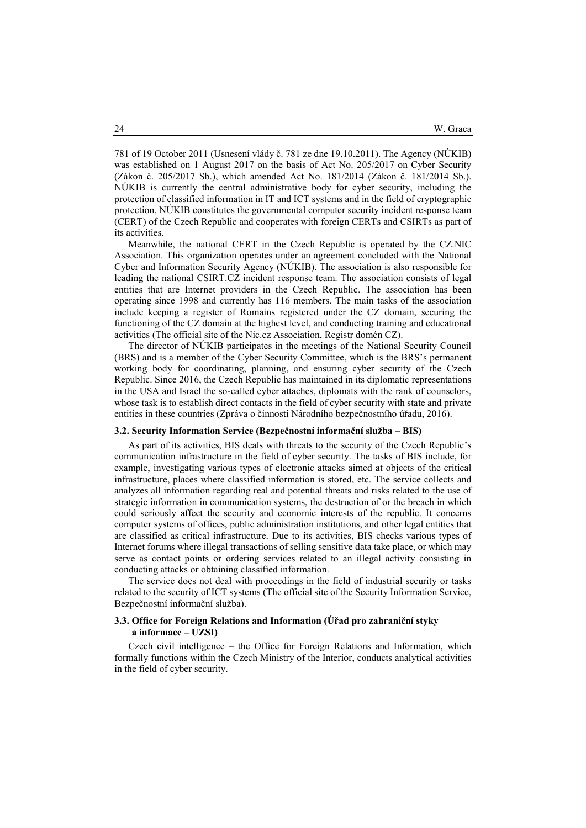781 of 19 October 2011 (Usnesení vlády č. 781 ze dne 19.10.2011). The Agency (NÚKIB) was established on 1 August 2017 on the basis of Act No. 205/2017 on Cyber Security (Zákon č. 205/2017 Sb.), which amended Act No. 181/2014 (Zákon č. 181/2014 Sb.). NÚKIB is currently the central administrative body for cyber security, including the protection of classified information in IT and ICT systems and in the field of cryptographic protection. NÚKIB constitutes the governmental computer security incident response team (CERT) of the Czech Republic and cooperates with foreign CERTs and CSIRTs as part of its activities.

Meanwhile, the national CERT in the Czech Republic is operated by the CZ.NIC Association. This organization operates under an agreement concluded with the National Cyber and Information Security Agency (NÚKIB). The association is also responsible for leading the national CSIRT.CZ incident response team. The association consists of legal entities that are Internet providers in the Czech Republic. The association has been operating since 1998 and currently has 116 members. The main tasks of the association include keeping a register of Romains registered under the CZ domain, securing the functioning of the CZ domain at the highest level, and conducting training and educational activities (The official site of the Nic.cz Association, Registr domén CZ).

The director of NÚKIB participates in the meetings of the National Security Council (BRS) and is a member of the Cyber Security Committee, which is the BRS's permanent working body for coordinating, planning, and ensuring cyber security of the Czech Republic. Since 2016, the Czech Republic has maintained in its diplomatic representations in the USA and Israel the so-called cyber attaches, diplomats with the rank of counselors, whose task is to establish direct contacts in the field of cyber security with state and private entities in these countries (Zpráva o činnosti Národního bezpečnostního úřadu, 2016).

## 3.2. Security Information Service (Bezpečnostní informační služba – BIS)

As part of its activities, BIS deals with threats to the security of the Czech Republic's communication infrastructure in the field of cyber security. The tasks of BIS include, for example, investigating various types of electronic attacks aimed at objects of the critical infrastructure, places where classified information is stored, etc. The service collects and analyzes all information regarding real and potential threats and risks related to the use of strategic information in communication systems, the destruction of or the breach in which could seriously affect the security and economic interests of the republic. It concerns computer systems of offices, public administration institutions, and other legal entities that are classified as critical infrastructure. Due to its activities, BIS checks various types of Internet forums where illegal transactions of selling sensitive data take place, or which may serve as contact points or ordering services related to an illegal activity consisting in conducting attacks or obtaining classified information.

The service does not deal with proceedings in the field of industrial security or tasks related to the security of ICT systems (The official site of the Security Information Service, Bezpečnostní informační služba).

# 3.3. Office for Foreign Relations and Information (Úřad pro zahraniční styky a informace – UZSI)

Czech civil intelligence – the Office for Foreign Relations and Information, which formally functions within the Czech Ministry of the Interior, conducts analytical activities in the field of cyber security.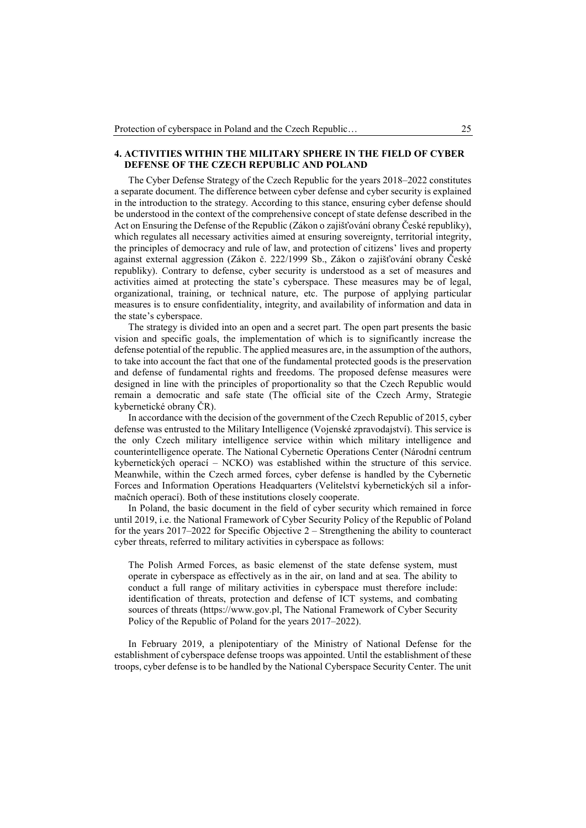## 4. ACTIVITIES WITHIN THE MILITARY SPHERE IN THE FIELD OF CYBER DEFENSE OF THE CZECH REPUBLIC AND POLAND

The Cyber Defense Strategy of the Czech Republic for the years 2018–2022 constitutes a separate document. The difference between cyber defense and cyber security is explained in the introduction to the strategy. According to this stance, ensuring cyber defense should be understood in the context of the comprehensive concept of state defense described in the Act on Ensuring the Defense of the Republic (Zákon o zajišťování obrany České republiky), which regulates all necessary activities aimed at ensuring sovereignty, territorial integrity, the principles of democracy and rule of law, and protection of citizens' lives and property against external aggression (Zákon č. 222/1999 Sb., Zákon o zajišťování obrany České republiky). Contrary to defense, cyber security is understood as a set of measures and activities aimed at protecting the state's cyberspace. These measures may be of legal, organizational, training, or technical nature, etc. The purpose of applying particular measures is to ensure confidentiality, integrity, and availability of information and data in the state's cyberspace.

The strategy is divided into an open and a secret part. The open part presents the basic vision and specific goals, the implementation of which is to significantly increase the defense potential of the republic. The applied measures are, in the assumption of the authors, to take into account the fact that one of the fundamental protected goods is the preservation and defense of fundamental rights and freedoms. The proposed defense measures were designed in line with the principles of proportionality so that the Czech Republic would remain a democratic and safe state (The official site of the Czech Army, Strategie kybernetické obrany ČR).

In accordance with the decision of the government of the Czech Republic of 2015, cyber defense was entrusted to the Military Intelligence (Vojenské zpravodajství). This service is the only Czech military intelligence service within which military intelligence and counterintelligence operate. The National Cybernetic Operations Center (Národní centrum kybernetických operací – NCKO) was established within the structure of this service. Meanwhile, within the Czech armed forces, cyber defense is handled by the Cybernetic Forces and Information Operations Headquarters (Velitelství kybernetických sil a informačních operací). Both of these institutions closely cooperate.

In Poland, the basic document in the field of cyber security which remained in force until 2019, i.e. the National Framework of Cyber Security Policy of the Republic of Poland for the years 2017–2022 for Specific Objective 2 – Strengthening the ability to counteract cyber threats, referred to military activities in cyberspace as follows:

The Polish Armed Forces, as basic elemenst of the state defense system, must operate in cyberspace as effectively as in the air, on land and at sea. The ability to conduct a full range of military activities in cyberspace must therefore include: identification of threats, protection and defense of ICT systems, and combating sources of threats (https://www.gov.pl, The National Framework of Cyber Security Policy of the Republic of Poland for the years 2017–2022).

In February 2019, a plenipotentiary of the Ministry of National Defense for the establishment of cyberspace defense troops was appointed. Until the establishment of these troops, cyber defense is to be handled by the National Cyberspace Security Center. The unit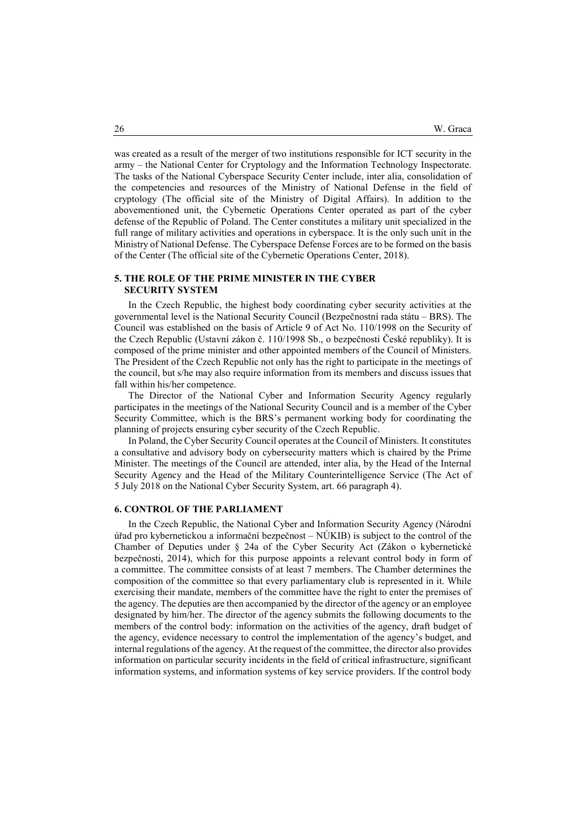was created as a result of the merger of two institutions responsible for ICT security in the army – the National Center for Cryptology and the Information Technology Inspectorate. The tasks of the National Cyberspace Security Center include, inter alia, consolidation of the competencies and resources of the Ministry of National Defense in the field of cryptology (The official site of the Ministry of Digital Affairs). In addition to the abovementioned unit, the Cybernetic Operations Center operated as part of the cyber defense of the Republic of Poland. The Center constitutes a military unit specialized in the full range of military activities and operations in cyberspace. It is the only such unit in the Ministry of National Defense. The Cyberspace Defense Forces are to be formed on the basis of the Center (The official site of the Cybernetic Operations Center, 2018).

## 5. THE ROLE OF THE PRIME MINISTER IN THE CYBER SECURITY SYSTEM

In the Czech Republic, the highest body coordinating cyber security activities at the governmental level is the National Security Council (Bezpečnostní rada státu – BRS). The Council was established on the basis of Article 9 of Act No. 110/1998 on the Security of the Czech Republic (Ustavní zákon č. 110/1998 Sb., o bezpečnosti České republiky). It is composed of the prime minister and other appointed members of the Council of Ministers. The President of the Czech Republic not only has the right to participate in the meetings of the council, but s/he may also require information from its members and discuss issues that fall within his/her competence.

The Director of the National Cyber and Information Security Agency regularly participates in the meetings of the National Security Council and is a member of the Cyber Security Committee, which is the BRS's permanent working body for coordinating the planning of projects ensuring cyber security of the Czech Republic.

In Poland, the Cyber Security Council operates at the Council of Ministers. It constitutes a consultative and advisory body on cybersecurity matters which is chaired by the Prime Minister. The meetings of the Council are attended, inter alia, by the Head of the Internal Security Agency and the Head of the Military Counterintelligence Service (The Act of 5 July 2018 on the National Cyber Security System, art. 66 paragraph 4).

#### 6. CONTROL OF THE PARLIAMENT

In the Czech Republic, the National Cyber and Information Security Agency (Národní úřad pro kybernetickou a informační bezpečnost – NÚKIB) is subject to the control of the Chamber of Deputies under § 24a of the Cyber Security Act (Zákon o kybernetické bezpečnosti, 2014), which for this purpose appoints a relevant control body in form of a committee. The committee consists of at least 7 members. The Chamber determines the composition of the committee so that every parliamentary club is represented in it. While exercising their mandate, members of the committee have the right to enter the premises of the agency. The deputies are then accompanied by the director of the agency or an employee designated by him/her. The director of the agency submits the following documents to the members of the control body: information on the activities of the agency, draft budget of the agency, evidence necessary to control the implementation of the agency's budget, and internal regulations of the agency. At the request of the committee, the director also provides information on particular security incidents in the field of critical infrastructure, significant information systems, and information systems of key service providers. If the control body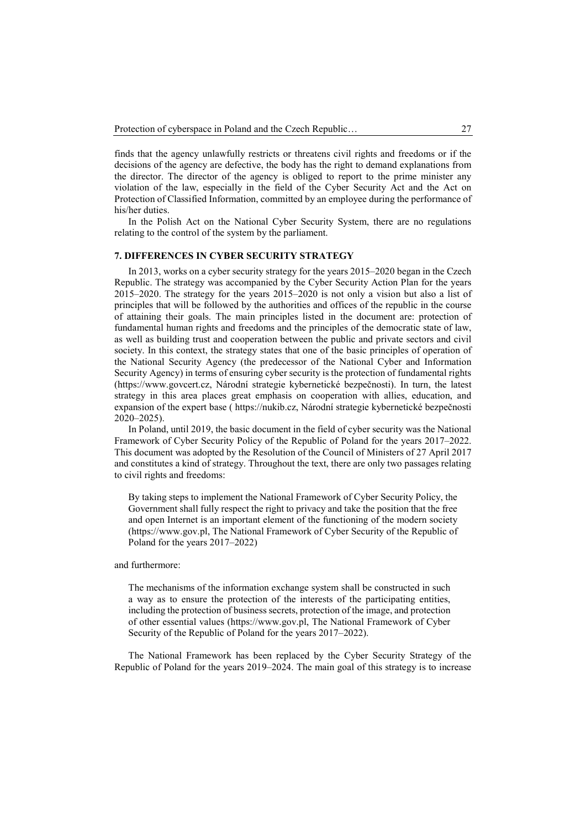finds that the agency unlawfully restricts or threatens civil rights and freedoms or if the decisions of the agency are defective, the body has the right to demand explanations from the director. The director of the agency is obliged to report to the prime minister any violation of the law, especially in the field of the Cyber Security Act and the Act on Protection of Classified Information, committed by an employee during the performance of his/her duties.

In the Polish Act on the National Cyber Security System, there are no regulations relating to the control of the system by the parliament.

#### 7. DIFFERENCES IN CYBER SECURITY STRATEGY

In 2013, works on a cyber security strategy for the years 2015–2020 began in the Czech Republic. The strategy was accompanied by the Cyber Security Action Plan for the years 2015–2020. The strategy for the years 2015–2020 is not only a vision but also a list of principles that will be followed by the authorities and offices of the republic in the course of attaining their goals. The main principles listed in the document are: protection of fundamental human rights and freedoms and the principles of the democratic state of law, as well as building trust and cooperation between the public and private sectors and civil society. In this context, the strategy states that one of the basic principles of operation of the National Security Agency (the predecessor of the National Cyber and Information Security Agency) in terms of ensuring cyber security is the protection of fundamental rights (https://www.govcert.cz, Národní strategie kybernetické bezpečnosti). In turn, the latest strategy in this area places great emphasis on cooperation with allies, education, and expansion of the expert base ( https://nukib.cz, Národní strategie kybernetické bezpečnosti 2020–2025).

In Poland, until 2019, the basic document in the field of cyber security was the National Framework of Cyber Security Policy of the Republic of Poland for the years 2017–2022. This document was adopted by the Resolution of the Council of Ministers of 27 April 2017 and constitutes a kind of strategy. Throughout the text, there are only two passages relating to civil rights and freedoms:

By taking steps to implement the National Framework of Cyber Security Policy, the Government shall fully respect the right to privacy and take the position that the free and open Internet is an important element of the functioning of the modern society (https://www.gov.pl, The National Framework of Cyber Security of the Republic of Poland for the years 2017–2022)

## and furthermore:

The mechanisms of the information exchange system shall be constructed in such a way as to ensure the protection of the interests of the participating entities, including the protection of business secrets, protection of the image, and protection of other essential values (https://www.gov.pl, The National Framework of Cyber Security of the Republic of Poland for the years 2017–2022).

The National Framework has been replaced by the Cyber Security Strategy of the Republic of Poland for the years 2019–2024. The main goal of this strategy is to increase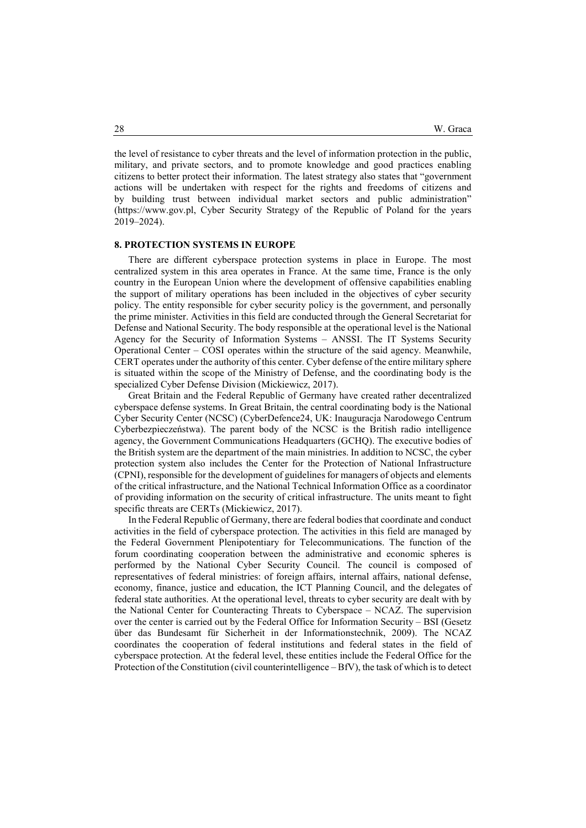the level of resistance to cyber threats and the level of information protection in the public, military, and private sectors, and to promote knowledge and good practices enabling citizens to better protect their information. The latest strategy also states that "government actions will be undertaken with respect for the rights and freedoms of citizens and by building trust between individual market sectors and public administration" (https://www.gov.pl, Cyber Security Strategy of the Republic of Poland for the years 2019–2024).

## 8. PROTECTION SYSTEMS IN EUROPE

There are different cyberspace protection systems in place in Europe. The most centralized system in this area operates in France. At the same time, France is the only country in the European Union where the development of offensive capabilities enabling the support of military operations has been included in the objectives of cyber security policy. The entity responsible for cyber security policy is the government, and personally the prime minister. Activities in this field are conducted through the General Secretariat for Defense and National Security. The body responsible at the operational level is the National Agency for the Security of Information Systems – ANSSI. The IT Systems Security Operational Center – COSI operates within the structure of the said agency. Meanwhile, CERT operates under the authority of this center. Cyber defense of the entire military sphere is situated within the scope of the Ministry of Defense, and the coordinating body is the specialized Cyber Defense Division (Mickiewicz, 2017).

Great Britain and the Federal Republic of Germany have created rather decentralized cyberspace defense systems. In Great Britain, the central coordinating body is the National Cyber Security Center (NCSC) (CyberDefence24, UK: Inauguracja Narodowego Centrum Cyberbezpieczeństwa). The parent body of the NCSC is the British radio intelligence agency, the Government Communications Headquarters (GCHQ). The executive bodies of the British system are the department of the main ministries. In addition to NCSC, the cyber protection system also includes the Center for the Protection of National Infrastructure (CPNI), responsible for the development of guidelines for managers of objects and elements of the critical infrastructure, and the National Technical Information Office as a coordinator of providing information on the security of critical infrastructure. The units meant to fight specific threats are CERTs (Mickiewicz, 2017).

In the Federal Republic of Germany, there are federal bodies that coordinate and conduct activities in the field of cyberspace protection. The activities in this field are managed by the Federal Government Plenipotentiary for Telecommunications. The function of the forum coordinating cooperation between the administrative and economic spheres is performed by the National Cyber Security Council. The council is composed of representatives of federal ministries: of foreign affairs, internal affairs, national defense, economy, finance, justice and education, the ICT Planning Council, and the delegates of federal state authorities. At the operational level, threats to cyber security are dealt with by the National Center for Counteracting Threats to Cyberspace – NCAZ. The supervision over the center is carried out by the Federal Office for Information Security – BSI (Gesetz über das Bundesamt für Sicherheit in der Informationstechnik, 2009). The NCAZ coordinates the cooperation of federal institutions and federal states in the field of cyberspace protection. At the federal level, these entities include the Federal Office for the Protection of the Constitution (civil counterintelligence – BfV), the task of which is to detect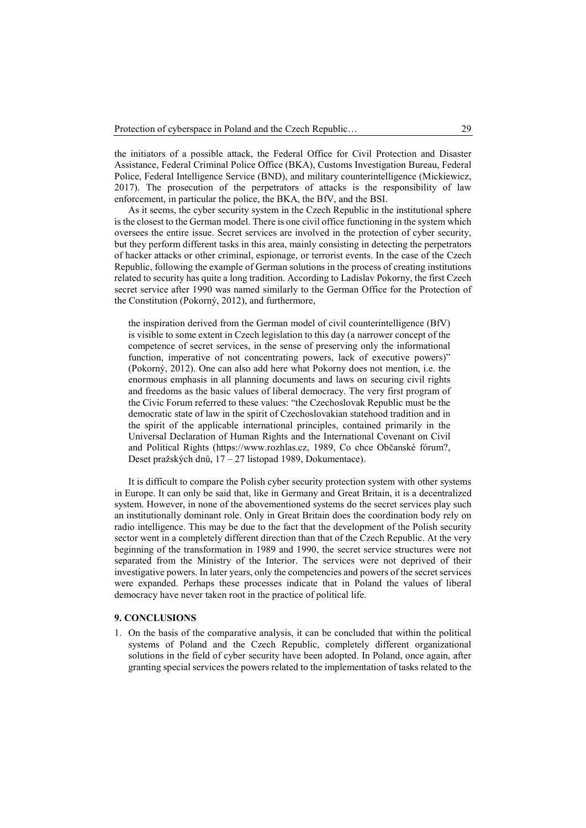the initiators of a possible attack, the Federal Office for Civil Protection and Disaster Assistance, Federal Criminal Police Office (BKA), Customs Investigation Bureau, Federal Police, Federal Intelligence Service (BND), and military counterintelligence (Mickiewicz, 2017). The prosecution of the perpetrators of attacks is the responsibility of law enforcement, in particular the police, the BKA, the BfV, and the BSI.

As it seems, the cyber security system in the Czech Republic in the institutional sphere is the closest to the German model. There is one civil office functioning in the system which oversees the entire issue. Secret services are involved in the protection of cyber security, but they perform different tasks in this area, mainly consisting in detecting the perpetrators of hacker attacks or other criminal, espionage, or terrorist events. In the case of the Czech Republic, following the example of German solutions in the process of creating institutions related to security has quite a long tradition. According to Ladislav Pokorny, the first Czech secret service after 1990 was named similarly to the German Office for the Protection of the Constitution (Pokorný, 2012), and furthermore,

the inspiration derived from the German model of civil counterintelligence (BfV) is visible to some extent in Czech legislation to this day (a narrower concept of the competence of secret services, in the sense of preserving only the informational function, imperative of not concentrating powers, lack of executive powers)" (Pokorný, 2012). One can also add here what Pokorny does not mention, i.e. the enormous emphasis in all planning documents and laws on securing civil rights and freedoms as the basic values of liberal democracy. The very first program of the Civic Forum referred to these values: "the Czechoslovak Republic must be the democratic state of law in the spirit of Czechoslovakian statehood tradition and in the spirit of the applicable international principles, contained primarily in the Universal Declaration of Human Rights and the International Covenant on Civil and Political Rights (https://www.rozhlas.cz, 1989, Co chce Občanské fórum?, Deset pražských dnů, 17 – 27 listopad 1989, Dokumentace).

It is difficult to compare the Polish cyber security protection system with other systems in Europe. It can only be said that, like in Germany and Great Britain, it is a decentralized system. However, in none of the abovementioned systems do the secret services play such an institutionally dominant role. Only in Great Britain does the coordination body rely on radio intelligence. This may be due to the fact that the development of the Polish security sector went in a completely different direction than that of the Czech Republic. At the very beginning of the transformation in 1989 and 1990, the secret service structures were not separated from the Ministry of the Interior. The services were not deprived of their investigative powers. In later years, only the competencies and powers of the secret services were expanded. Perhaps these processes indicate that in Poland the values of liberal democracy have never taken root in the practice of political life.

#### 9. CONCLUSIONS

1. On the basis of the comparative analysis, it can be concluded that within the political systems of Poland and the Czech Republic, completely different organizational solutions in the field of cyber security have been adopted. In Poland, once again, after granting special services the powers related to the implementation of tasks related to the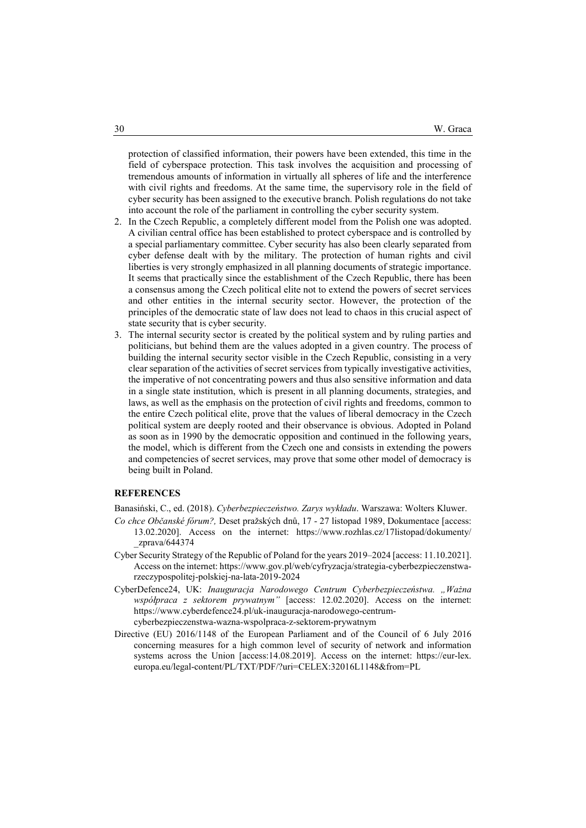protection of classified information, their powers have been extended, this time in the field of cyberspace protection. This task involves the acquisition and processing of tremendous amounts of information in virtually all spheres of life and the interference with civil rights and freedoms. At the same time, the supervisory role in the field of cyber security has been assigned to the executive branch. Polish regulations do not take into account the role of the parliament in controlling the cyber security system.

- 2. In the Czech Republic, a completely different model from the Polish one was adopted. A civilian central office has been established to protect cyberspace and is controlled by a special parliamentary committee. Cyber security has also been clearly separated from cyber defense dealt with by the military. The protection of human rights and civil liberties is very strongly emphasized in all planning documents of strategic importance. It seems that practically since the establishment of the Czech Republic, there has been a consensus among the Czech political elite not to extend the powers of secret services and other entities in the internal security sector. However, the protection of the principles of the democratic state of law does not lead to chaos in this crucial aspect of state security that is cyber security.
- 3. The internal security sector is created by the political system and by ruling parties and politicians, but behind them are the values adopted in a given country. The process of building the internal security sector visible in the Czech Republic, consisting in a very clear separation of the activities of secret services from typically investigative activities, the imperative of not concentrating powers and thus also sensitive information and data in a single state institution, which is present in all planning documents, strategies, and laws, as well as the emphasis on the protection of civil rights and freedoms, common to the entire Czech political elite, prove that the values of liberal democracy in the Czech political system are deeply rooted and their observance is obvious. Adopted in Poland as soon as in 1990 by the democratic opposition and continued in the following years, the model, which is different from the Czech one and consists in extending the powers and competencies of secret services, may prove that some other model of democracy is being built in Poland.

#### **REFERENCES**

Banasiński, C., ed. (2018). Cyberbezpieczeństwo. Zarys wykładu. Warszawa: Wolters Kluwer.

- Co chce Občanské fórum?, Deset pražských dnů, 17 27 listopad 1989, Dokumentace [access: 13.02.2020]. Access on the internet: https://www.rozhlas.cz/17listopad/dokumenty/ \_zprava/644374
- Cyber Security Strategy of the Republic of Poland for the years 2019–2024 [access: 11.10.2021]. Access on the internet: https://www.gov.pl/web/cyfryzacja/strategia-cyberbezpieczenstwarzeczypospolitej-polskiej-na-lata-2019-2024
- CyberDefence24, UK: Inauguracja Narodowego Centrum Cyberbezpieczeństwa. "Ważna współpraca z sektorem prywatnym" [access: 12.02.2020]. Access on the internet: https://www.cyberdefence24.pl/uk-inauguracja-narodowego-centrumcyberbezpieczenstwa-wazna-wspolpraca-z-sektorem-prywatnym
- Directive (EU) 2016/1148 of the European Parliament and of the Council of 6 July 2016 concerning measures for a high common level of security of network and information systems across the Union [access:14.08.2019]. Access on the internet: https://eur-lex. europa.eu/legal-content/PL/TXT/PDF/?uri=CELEX:32016L1148&from=PL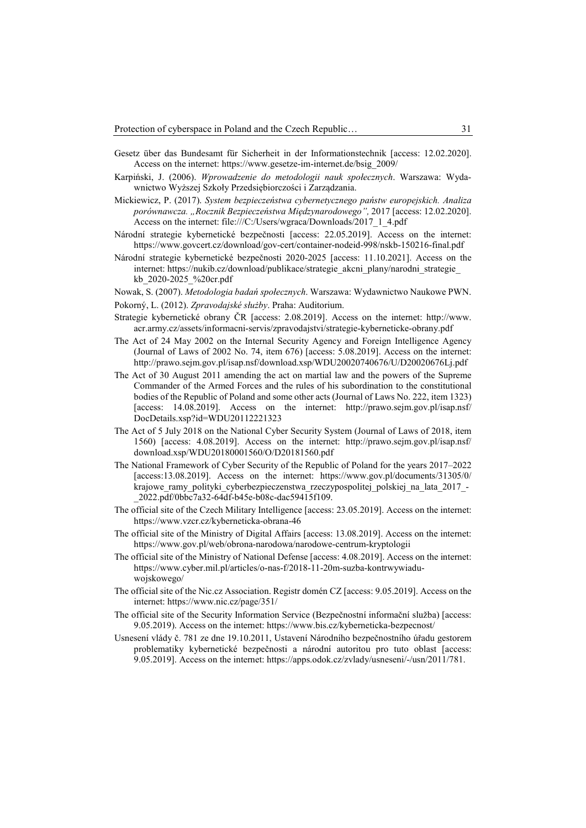- Gesetz über das Bundesamt für Sicherheit in der Informationstechnik [access: 12.02.2020]. Access on the internet: https://www.gesetze-im-internet.de/bsig\_2009/
- Karpiński, J. (2006). Wprowadzenie do metodologii nauk społecznych. Warszawa: Wydawnictwo Wyższej Szkoły Przedsiębiorczości i Zarządzania.
- Mickiewicz, P. (2017). System bezpieczeństwa cybernetycznego państw europejskich. Analiza porównawcza. "Rocznik Bezpieczeństwa Międzynarodowego", 2017 [access: 12.02.2020]. Access on the internet: file:///C:/Users/wgraca/Downloads/2017\_1\_4.pdf
- Národní strategie kybernetické bezpečnosti [access: 22.05.2019]. Access on the internet: https://www.govcert.cz/download/gov-cert/container-nodeid-998/nskb-150216-final.pdf
- Národní strategie kybernetické bezpečnosti 2020-2025 [access: 11.10.2021]. Access on the internet: https://nukib.cz/download/publikace/strategie\_akcni\_plany/narodni\_strategie\_ kb\_2020-2025\_%20cr.pdf
- Nowak, S. (2007). Metodologia badań społecznych. Warszawa: Wydawnictwo Naukowe PWN.
- Pokorný, L. (2012). Zpravodajské służby. Praha: Auditorium.
- Strategie kybernetické obrany ČR [access: 2.08.2019]. Access on the internet: http://www. acr.army.cz/assets/informacni-servis/zpravodajstvi/strategie-kyberneticke-obrany.pdf
- The Act of 24 May 2002 on the Internal Security Agency and Foreign Intelligence Agency (Journal of Laws of 2002 No. 74, item 676) [access: 5.08.2019]. Access on the internet: http://prawo.sejm.gov.pl/isap.nsf/download.xsp/WDU20020740676/U/D20020676Lj.pdf
- The Act of 30 August 2011 amending the act on martial law and the powers of the Supreme Commander of the Armed Forces and the rules of his subordination to the constitutional bodies of the Republic of Poland and some other acts (Journal of Laws No. 222, item 1323) [access: 14.08.2019]. Access on the internet: http://prawo.sejm.gov.pl/isap.nsf/ DocDetails.xsp?id=WDU20112221323
- The Act of 5 July 2018 on the National Cyber Security System (Journal of Laws of 2018, item 1560) [access: 4.08.2019]. Access on the internet: http://prawo.sejm.gov.pl/isap.nsf/ download.xsp/WDU20180001560/O/D20181560.pdf
- The National Framework of Cyber Security of the Republic of Poland for the years 2017–2022 [access:13.08.2019]. Access on the internet: https://www.gov.pl/documents/31305/0/ krajowe\_ramy\_polityki\_cyberbezpieczenstwa\_rzeczypospolitej\_polskiej\_na\_lata\_2017\_- \_2022.pdf/0bbc7a32-64df-b45e-b08c-dac59415f109.
- The official site of the Czech Military Intelligence [access: 23.05.2019]. Access on the internet: https://www.vzcr.cz/kyberneticka-obrana-46
- The official site of the Ministry of Digital Affairs [access: 13.08.2019]. Access on the internet: https://www.gov.pl/web/obrona-narodowa/narodowe-centrum-kryptologii
- The official site of the Ministry of National Defense [access: 4.08.2019]. Access on the internet: https://www.cyber.mil.pl/articles/o-nas-f/2018-11-20m-suzba-kontrwywiaduwojskowego/
- The official site of the Nic.cz Association. Registr domén CZ [access: 9.05.2019]. Access on the internet: https://www.nic.cz/page/351/
- The official site of the Security Information Service (Bezpečnostní informační služba) [access: 9.05.2019). Access on the internet: https://www.bis.cz/kyberneticka-bezpecnost/
- Usnesení vlády č. 781 ze dne 19.10.2011, Ustavení Národního bezpečnostního úřadu gestorem problematiky kybernetické bezpečnosti a národní autoritou pro tuto oblast [access: 9.05.2019]. Access on the internet: https://apps.odok.cz/zvlady/usneseni/-/usn/2011/781.